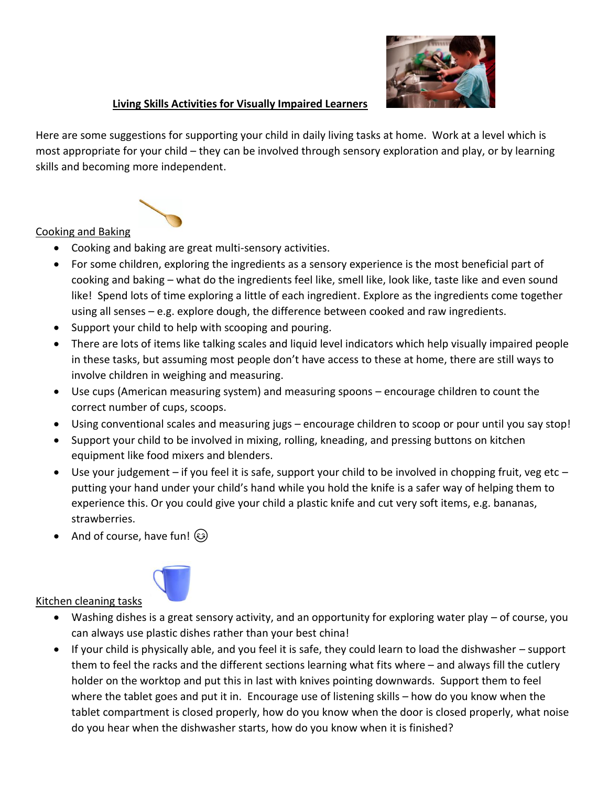

## **Living Skills Activities for Visually Impaired Learners**

Here are some suggestions for supporting your child in daily living tasks at home. Work at a level which is most appropriate for your child – they can be involved through sensory exploration and play, or by learning skills and becoming more independent.



## Cooking and Baking

- Cooking and baking are great multi-sensory activities.
- For some children, exploring the ingredients as a sensory experience is the most beneficial part of cooking and baking – what do the ingredients feel like, smell like, look like, taste like and even sound like! Spend lots of time exploring a little of each ingredient. Explore as the ingredients come together using all senses – e.g. explore dough, the difference between cooked and raw ingredients.
- Support your child to help with scooping and pouring.
- There are lots of items like talking scales and liquid level indicators which help visually impaired people in these tasks, but assuming most people don't have access to these at home, there are still ways to involve children in weighing and measuring.
- Use cups (American measuring system) and measuring spoons encourage children to count the correct number of cups, scoops.
- Using conventional scales and measuring jugs encourage children to scoop or pour until you say stop!
- Support your child to be involved in mixing, rolling, kneading, and pressing buttons on kitchen equipment like food mixers and blenders.
- Use your judgement if you feel it is safe, support your child to be involved in chopping fruit, veg etc putting your hand under your child's hand while you hold the knife is a safer way of helping them to experience this. Or you could give your child a plastic knife and cut very soft items, e.g. bananas, strawberries.
- And of course, have fun!



- Washing dishes is a great sensory activity, and an opportunity for exploring water play of course, you can always use plastic dishes rather than your best china!
- If your child is physically able, and you feel it is safe, they could learn to load the dishwasher support them to feel the racks and the different sections learning what fits where – and always fill the cutlery holder on the worktop and put this in last with knives pointing downwards. Support them to feel where the tablet goes and put it in. Encourage use of listening skills – how do you know when the tablet compartment is closed properly, how do you know when the door is closed properly, what noise do you hear when the dishwasher starts, how do you know when it is finished?